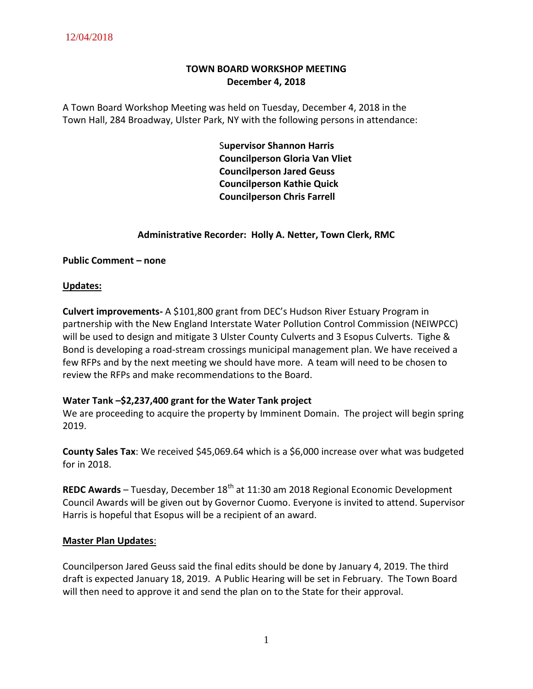# **TOWN BOARD WORKSHOP MEETING December 4, 2018**

A Town Board Workshop Meeting was held on Tuesday, December 4, 2018 in the Town Hall, 284 Broadway, Ulster Park, NY with the following persons in attendance:

> S**upervisor Shannon Harris Councilperson Gloria Van Vliet Councilperson Jared Geuss Councilperson Kathie Quick Councilperson Chris Farrell**

## **Administrative Recorder: Holly A. Netter, Town Clerk, RMC**

**Public Comment – none**

#### **Updates:**

**Culvert improvements-** A \$101,800 grant from DEC's Hudson River Estuary Program in partnership with the New England Interstate Water Pollution Control Commission (NEIWPCC) will be used to design and mitigate 3 Ulster County Culverts and 3 Esopus Culverts. Tighe & Bond is developing a road-stream crossings municipal management plan. We have received a few RFPs and by the next meeting we should have more. A team will need to be chosen to review the RFPs and make recommendations to the Board.

#### **Water Tank –\$2,237,400 grant for the Water Tank project**

We are proceeding to acquire the property by Imminent Domain. The project will begin spring 2019.

**County Sales Tax**: We received \$45,069.64 which is a \$6,000 increase over what was budgeted for in 2018.

**REDC Awards** – Tuesday, December 18<sup>th</sup> at 11:30 am 2018 Regional Economic Development Council Awards will be given out by Governor Cuomo. Everyone is invited to attend. Supervisor Harris is hopeful that Esopus will be a recipient of an award.

#### **Master Plan Updates**:

Councilperson Jared Geuss said the final edits should be done by January 4, 2019. The third draft is expected January 18, 2019. A Public Hearing will be set in February. The Town Board will then need to approve it and send the plan on to the State for their approval.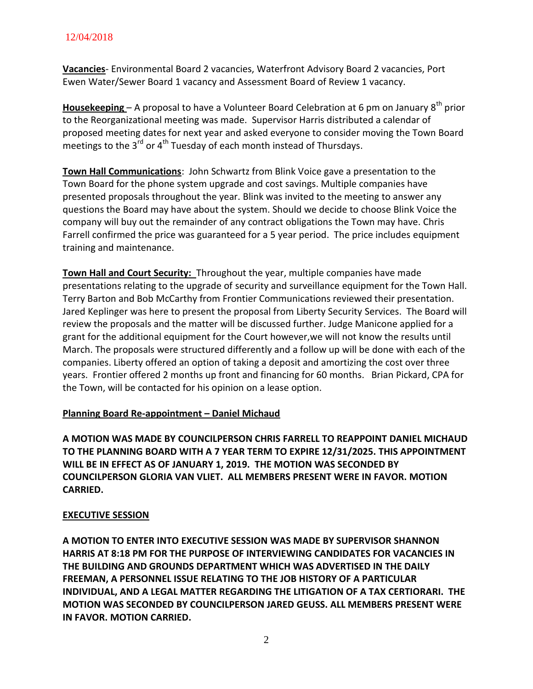# 12/04/2018

**Vacancies**- Environmental Board 2 vacancies, Waterfront Advisory Board 2 vacancies, Port Ewen Water/Sewer Board 1 vacancy and Assessment Board of Review 1 vacancy.

**Housekeeping –** A proposal to have a Volunteer Board Celebration at 6 pm on January 8<sup>th</sup> prior to the Reorganizational meeting was made. Supervisor Harris distributed a calendar of proposed meeting dates for next year and asked everyone to consider moving the Town Board meetings to the  $3^{rd}$  or  $4^{th}$  Tuesday of each month instead of Thursdays.

**Town Hall Communications**: John Schwartz from Blink Voice gave a presentation to the Town Board for the phone system upgrade and cost savings. Multiple companies have presented proposals throughout the year. Blink was invited to the meeting to answer any questions the Board may have about the system. Should we decide to choose Blink Voice the company will buy out the remainder of any contract obligations the Town may have. Chris Farrell confirmed the price was guaranteed for a 5 year period. The price includes equipment training and maintenance.

**Town Hall and Court Security:** Throughout the year, multiple companies have made presentations relating to the upgrade of security and surveillance equipment for the Town Hall. Terry Barton and Bob McCarthy from Frontier Communications reviewed their presentation. Jared Keplinger was here to present the proposal from Liberty Security Services. The Board will review the proposals and the matter will be discussed further. Judge Manicone applied for a grant for the additional equipment for the Court however,we will not know the results until March. The proposals were structured differently and a follow up will be done with each of the companies. Liberty offered an option of taking a deposit and amortizing the cost over three years. Frontier offered 2 months up front and financing for 60 months. Brian Pickard, CPA for the Town, will be contacted for his opinion on a lease option.

# **Planning Board Re-appointment – Daniel Michaud**

**A MOTION WAS MADE BY COUNCILPERSON CHRIS FARRELL TO REAPPOINT DANIEL MICHAUD TO THE PLANNING BOARD WITH A 7 YEAR TERM TO EXPIRE 12/31/2025. THIS APPOINTMENT WILL BE IN EFFECT AS OF JANUARY 1, 2019. THE MOTION WAS SECONDED BY COUNCILPERSON GLORIA VAN VLIET. ALL MEMBERS PRESENT WERE IN FAVOR. MOTION CARRIED.**

# **EXECUTIVE SESSION**

**A MOTION TO ENTER INTO EXECUTIVE SESSION WAS MADE BY SUPERVISOR SHANNON HARRIS AT 8:18 PM FOR THE PURPOSE OF INTERVIEWING CANDIDATES FOR VACANCIES IN THE BUILDING AND GROUNDS DEPARTMENT WHICH WAS ADVERTISED IN THE DAILY FREEMAN, A PERSONNEL ISSUE RELATING TO THE JOB HISTORY OF A PARTICULAR INDIVIDUAL, AND A LEGAL MATTER REGARDING THE LITIGATION OF A TAX CERTIORARI. THE MOTION WAS SECONDED BY COUNCILPERSON JARED GEUSS. ALL MEMBERS PRESENT WERE IN FAVOR. MOTION CARRIED.**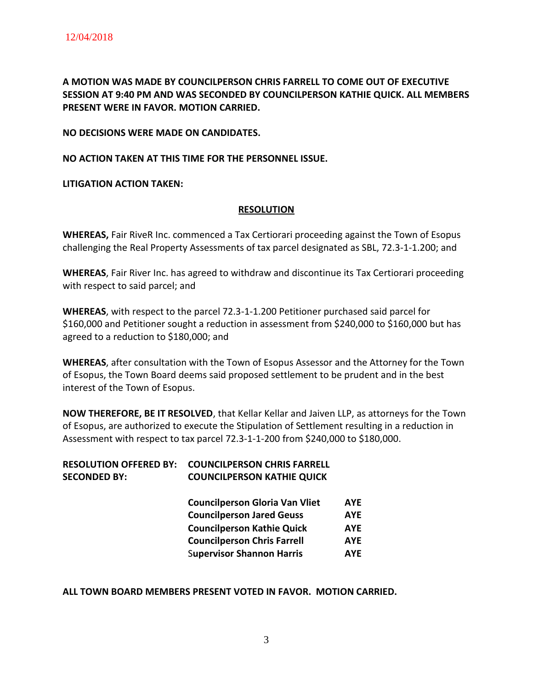**A MOTION WAS MADE BY COUNCILPERSON CHRIS FARRELL TO COME OUT OF EXECUTIVE SESSION AT 9:40 PM AND WAS SECONDED BY COUNCILPERSON KATHIE QUICK. ALL MEMBERS PRESENT WERE IN FAVOR. MOTION CARRIED.**

**NO DECISIONS WERE MADE ON CANDIDATES.**

**NO ACTION TAKEN AT THIS TIME FOR THE PERSONNEL ISSUE.**

**LITIGATION ACTION TAKEN:**

#### **RESOLUTION**

**WHEREAS,** Fair RiveR Inc. commenced a Tax Certiorari proceeding against the Town of Esopus challenging the Real Property Assessments of tax parcel designated as SBL, 72.3-1-1.200; and

**WHEREAS**, Fair River Inc. has agreed to withdraw and discontinue its Tax Certiorari proceeding with respect to said parcel; and

**WHEREAS**, with respect to the parcel 72.3-1-1.200 Petitioner purchased said parcel for \$160,000 and Petitioner sought a reduction in assessment from \$240,000 to \$160,000 but has agreed to a reduction to \$180,000; and

**WHEREAS**, after consultation with the Town of Esopus Assessor and the Attorney for the Town of Esopus, the Town Board deems said proposed settlement to be prudent and in the best interest of the Town of Esopus.

**NOW THEREFORE, BE IT RESOLVED**, that Kellar Kellar and Jaiven LLP, as attorneys for the Town of Esopus, are authorized to execute the Stipulation of Settlement resulting in a reduction in Assessment with respect to tax parcel 72.3-1-1-200 from \$240,000 to \$180,000.

|                     | <b>RESOLUTION OFFERED BY: COUNCILPERSON CHRIS FARRELL</b> |            |
|---------------------|-----------------------------------------------------------|------------|
| <b>SECONDED BY:</b> | <b>COUNCILPERSON KATHIE QUICK</b>                         |            |
|                     | <b>Councilperson Gloria Van Vliet</b>                     | <b>AYE</b> |

| COMININGISON SIONIG VAN VIICL      | <u>.</u>   |
|------------------------------------|------------|
| <b>Councilperson Jared Geuss</b>   | <b>AYE</b> |
| <b>Councilperson Kathie Quick</b>  | <b>AYE</b> |
| <b>Councilperson Chris Farrell</b> | <b>AYE</b> |
| <b>Supervisor Shannon Harris</b>   | <b>AYE</b> |

#### **ALL TOWN BOARD MEMBERS PRESENT VOTED IN FAVOR. MOTION CARRIED.**